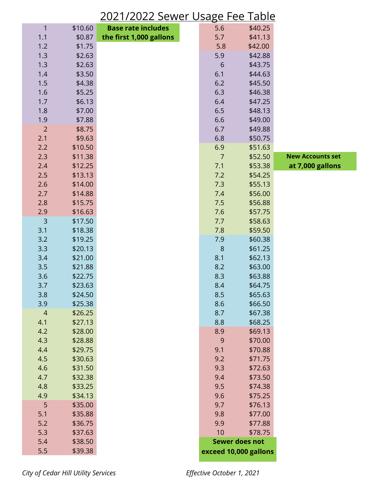## 2021/2022 Sewer Usage Fee Table

| $\mathbf{1}$   | \$10.60 | <b>Base rate includes</b> | 5.6              | \$40.25               |                         |
|----------------|---------|---------------------------|------------------|-----------------------|-------------------------|
| 1.1            | \$0.87  | the first 1,000 gallons   | 5.7              | \$41.13               |                         |
| 1.2            | \$1.75  |                           | 5.8              | \$42.00               |                         |
| 1.3            | \$2.63  |                           | 5.9              | \$42.88               |                         |
| 1.3            | \$2.63  |                           | $6\phantom{1}6$  | \$43.75               |                         |
| 1.4            | \$3.50  |                           | 6.1              | \$44.63               |                         |
| 1.5            | \$4.38  |                           | 6.2              | \$45.50               |                         |
| 1.6            | \$5.25  |                           | 6.3              | \$46.38               |                         |
| 1.7            | \$6.13  |                           | 6.4              | \$47.25               |                         |
| 1.8            | \$7.00  |                           | 6.5              | \$48.13               |                         |
| 1.9            | \$7.88  |                           | 6.6              | \$49.00               |                         |
| $\overline{2}$ | \$8.75  |                           | 6.7              | \$49.88               |                         |
| 2.1            | \$9.63  |                           | 6.8              | \$50.75               |                         |
| 2.2            | \$10.50 |                           | 6.9              | \$51.63               |                         |
| 2.3            | \$11.38 |                           | $\overline{7}$   | \$52.50               | <b>New Accounts set</b> |
| 2.4            | \$12.25 |                           | 7.1              | \$53.38               | at 7,000 gallons        |
| 2.5            | \$13.13 |                           | 7.2              | \$54.25               |                         |
| 2.6            | \$14.00 |                           | 7.3              | \$55.13               |                         |
| 2.7            | \$14.88 |                           | 7.4              | \$56.00               |                         |
| 2.8            | \$15.75 |                           | 7.5              | \$56.88               |                         |
| 2.9            | \$16.63 |                           | 7.6              | \$57.75               |                         |
| $\overline{3}$ | \$17.50 |                           | 7.7              | \$58.63               |                         |
| 3.1            | \$18.38 |                           | 7.8              | \$59.50               |                         |
| 3.2            | \$19.25 |                           | 7.9              | \$60.38               |                         |
| 3.3            | \$20.13 |                           | $\boldsymbol{8}$ | \$61.25               |                         |
| 3.4            | \$21.00 |                           | 8.1              | \$62.13               |                         |
| 3.5            | \$21.88 |                           | 8.2              | \$63.00               |                         |
| 3.6            | \$22.75 |                           | 8.3              | \$63.88               |                         |
| 3.7            | \$23.63 |                           | 8.4              | \$64.75               |                         |
| 3.8            | \$24.50 |                           | 8.5              | \$65.63               |                         |
| 3.9            | \$25.38 |                           | 8.6              | \$66.50               |                         |
| $\overline{4}$ | \$26.25 |                           | 8.7              | \$67.38               |                         |
| 4.1            | \$27.13 |                           | 8.8              | \$68.25               |                         |
| 4.2            | \$28.00 |                           | 8.9              | \$69.13               |                         |
| 4.3            | \$28.88 |                           | $\overline{9}$   | \$70.00               |                         |
| 4.4            | \$29.75 |                           | 9.1              | \$70.88               |                         |
| 4.5            | \$30.63 |                           | 9.2              | \$71.75               |                         |
| 4.6            | \$31.50 |                           | 9.3              | \$72.63               |                         |
| 4.7            | \$32.38 |                           | 9.4              | \$73.50               |                         |
| 4.8            | \$33.25 |                           | 9.5              | \$74.38               |                         |
| 4.9            | \$34.13 |                           | 9.6              | \$75.25               |                         |
| 5              | \$35.00 |                           | 9.7              | \$76.13               |                         |
| 5.1            | \$35.88 |                           | 9.8              | \$77.00               |                         |
| 5.2            | \$36.75 |                           | 9.9              | \$77.88               |                         |
| 5.3            | \$37.63 |                           | 10               | \$78.75               |                         |
| 5.4            | \$38.50 |                           |                  | <b>Sewer does not</b> |                         |
| 5.5            | \$39.38 |                           |                  | exceed 10,000 gallons |                         |
|                |         |                           |                  |                       |                         |